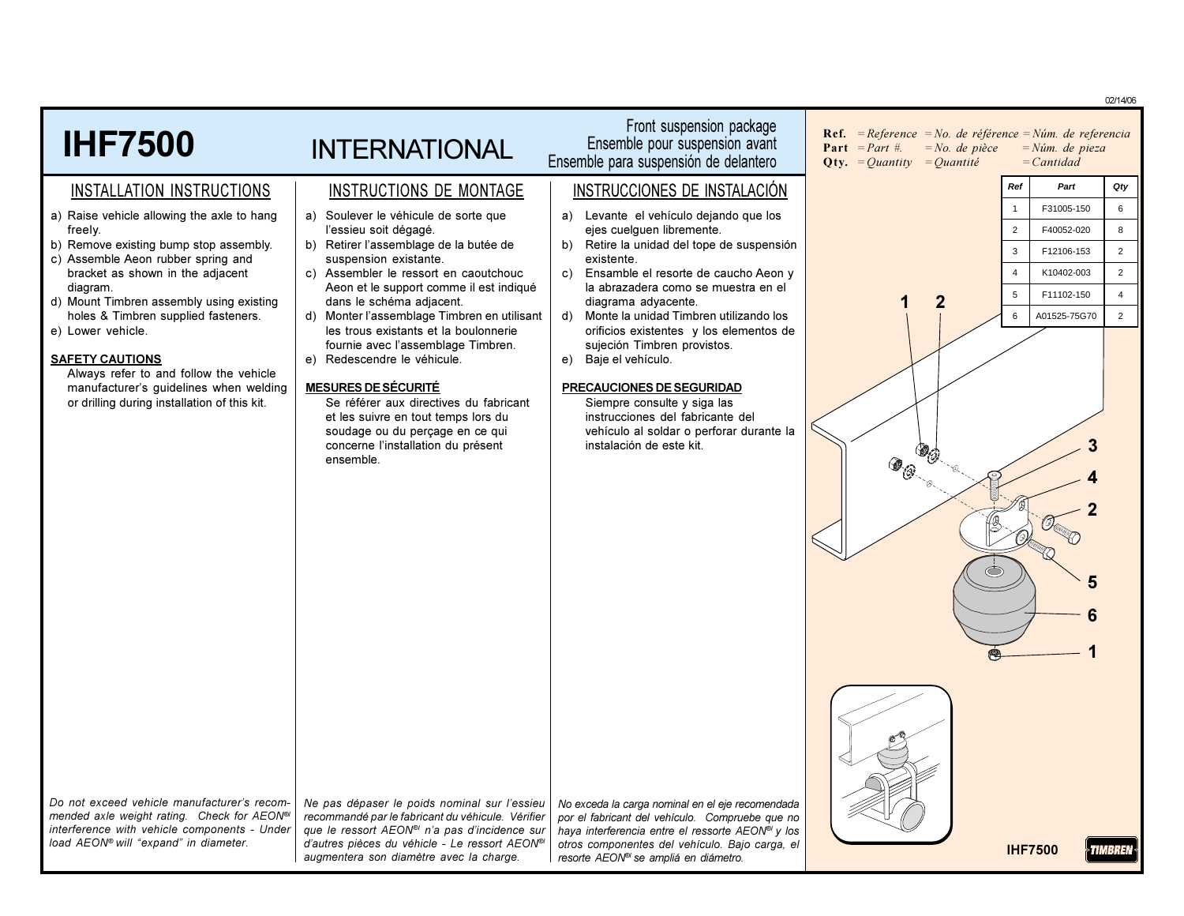|                                                                                                        |                                                                                                               |                                                                                                                 | 02/14/06                                                                                                                                                                                                        |
|--------------------------------------------------------------------------------------------------------|---------------------------------------------------------------------------------------------------------------|-----------------------------------------------------------------------------------------------------------------|-----------------------------------------------------------------------------------------------------------------------------------------------------------------------------------------------------------------|
| <b>IHF7500</b>                                                                                         | <b>INTERNATIONAL</b>                                                                                          | Front suspension package<br>Ensemble pour suspension avant<br>Ensemble para suspensión de delantero             | <b>Ref.</b> = Reference = No. de référence = Núm. de referencia<br><b>Part</b> $= Part \#$ .<br>$=No$ . de pièce<br>$=N$ úm. de pieza<br>$=$ <i>Cantidad</i><br><b>Qty.</b> = <i>Quantity</i> = <i>Quantité</i> |
| INSTALLATION INSTRUCTIONS                                                                              | INSTRUCTIONS DE MONTAGE                                                                                       | INSTRUCCIONES DE INSTALACIÓN                                                                                    | Ref<br>Qty<br>Part                                                                                                                                                                                              |
| a) Raise vehicle allowing the axle to hang                                                             | a) Soulever le véhicule de sorte que                                                                          | a) Levante el vehículo dejando que los                                                                          | 6<br>F31005-150                                                                                                                                                                                                 |
| freely.<br>b) Remove existing bump stop assembly.                                                      | l'essieu soit dégagé.<br>b) Retirer l'assemblage de la butée de                                               | ejes cuelguen libremente.<br>Retire la unidad del tope de suspensión<br>b)                                      | 8<br>$\overline{2}$<br>F40052-020                                                                                                                                                                               |
| c) Assemble Aeon rubber spring and<br>bracket as shown in the adjacent                                 | suspension existante.<br>c) Assembler le ressort en caoutchouc                                                | existente.<br>c) Ensamble el resorte de caucho Aeon y                                                           | $\overline{2}$<br>3<br>F12106-153<br>$\overline{2}$<br>K10402-003<br>$\overline{4}$                                                                                                                             |
| diagram.                                                                                               | Aeon et le support comme il est indiqué                                                                       | la abrazadera como se muestra en el                                                                             | F11102-150<br>$\overline{4}$<br>5                                                                                                                                                                               |
| d) Mount Timbren assembly using existing<br>holes & Timbren supplied fasteners.                        | dans le schéma adjacent.<br>d) Monter l'assemblage Timbren en utilisant                                       | diagrama adyacente.<br>Monte la unidad Timbren utilizando los<br>d)                                             | $\overline{2}$<br>A01525-75G70<br>6                                                                                                                                                                             |
| e) Lower vehicle.                                                                                      | les trous existants et la boulonnerie<br>fournie avec l'assemblage Timbren.                                   | orificios existentes y los elementos de<br>sujeción Timbren provistos.                                          |                                                                                                                                                                                                                 |
| <b>SAFETY CAUTIONS</b>                                                                                 | e) Redescendre le véhicule.                                                                                   | Baje el vehículo.<br>e)                                                                                         |                                                                                                                                                                                                                 |
| Always refer to and follow the vehicle<br>manufacturer's guidelines when welding                       | <b>MESURES DE SÉCURITÉ</b>                                                                                    | PRECAUCIONES DE SEGURIDAD                                                                                       |                                                                                                                                                                                                                 |
| or drilling during installation of this kit.                                                           | Se référer aux directives du fabricant<br>et les suivre en tout temps lors du                                 | Siempre consulte y siga las<br>instrucciones del fabricante del                                                 |                                                                                                                                                                                                                 |
|                                                                                                        | soudage ou du perçage en ce qui                                                                               | vehículo al soldar o perforar durante la                                                                        |                                                                                                                                                                                                                 |
|                                                                                                        | concerne l'installation du présent<br>ensemble.                                                               | instalación de este kit.                                                                                        | $\circledast_{\circledcirc}$                                                                                                                                                                                    |
|                                                                                                        |                                                                                                               |                                                                                                                 |                                                                                                                                                                                                                 |
|                                                                                                        |                                                                                                               |                                                                                                                 |                                                                                                                                                                                                                 |
|                                                                                                        |                                                                                                               |                                                                                                                 |                                                                                                                                                                                                                 |
|                                                                                                        |                                                                                                               |                                                                                                                 |                                                                                                                                                                                                                 |
|                                                                                                        |                                                                                                               |                                                                                                                 | 5                                                                                                                                                                                                               |
|                                                                                                        |                                                                                                               |                                                                                                                 |                                                                                                                                                                                                                 |
|                                                                                                        |                                                                                                               |                                                                                                                 |                                                                                                                                                                                                                 |
|                                                                                                        |                                                                                                               |                                                                                                                 |                                                                                                                                                                                                                 |
|                                                                                                        |                                                                                                               |                                                                                                                 |                                                                                                                                                                                                                 |
|                                                                                                        |                                                                                                               |                                                                                                                 |                                                                                                                                                                                                                 |
|                                                                                                        |                                                                                                               |                                                                                                                 |                                                                                                                                                                                                                 |
|                                                                                                        |                                                                                                               |                                                                                                                 |                                                                                                                                                                                                                 |
| Do not exceed vehicle manufacturer's recom-<br>mended axle weight rating. Check for AEON <sup>®/</sup> | Ne pas dépaser le poids nominal sur l'essieu                                                                  | No exceda la carga nominal en el eje recomendada                                                                |                                                                                                                                                                                                                 |
| interference with vehicle components - Under                                                           | recommandé par le fabricant du véhicule. Vérifier<br>que le ressort AEON <sup>®</sup> n'a pas d'incidence sur | por el fabricant del vehículo. Compruebe que no<br>haya interferencia entre el ressorte AEON <sup>®</sup> y los |                                                                                                                                                                                                                 |
| load AEON® will "expand" in diameter.                                                                  | d'autres pièces du véhicle - Le ressort AEON®<br>augmentera son diamètre avec la charge.                      | otros componentes del vehículo. Bajo carga, el<br>resorte AEON <sup>®</sup> se ampliá en diámetro.              | <b>IHF7500</b><br>TIMBREN                                                                                                                                                                                       |